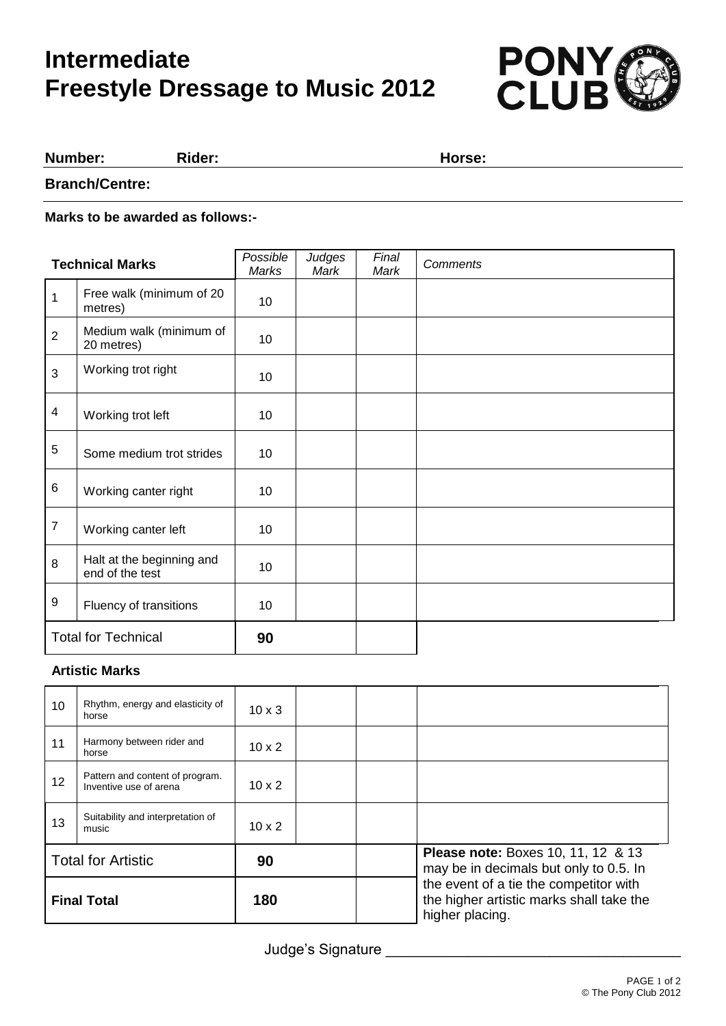# **Intermediate Freestyle Dressage to Music 2012**



#### **Number: Rider: Horse:**

**Branch/Centre:**

**Marks to be awarded as follows:-**

| <b>Technical Marks</b>     |                                              | Possible<br>Marks | Judges<br>Mark | Final<br>Mark | Comments |
|----------------------------|----------------------------------------------|-------------------|----------------|---------------|----------|
| 1                          | Free walk (minimum of 20<br>metres)          | 10                |                |               |          |
| $\overline{2}$             | Medium walk (minimum of<br>20 metres)        | 10                |                |               |          |
| 3                          | Working trot right                           | 10                |                |               |          |
| $\overline{\mathbf{4}}$    | Working trot left                            | 10                |                |               |          |
| 5                          | Some medium trot strides                     | 10                |                |               |          |
| 6                          | Working canter right                         | 10                |                |               |          |
| $\overline{7}$             | Working canter left                          | 10                |                |               |          |
| 8                          | Halt at the beginning and<br>end of the test | 10                |                |               |          |
| 9                          | Fluency of transitions                       | 10                |                |               |          |
| <b>Total for Technical</b> |                                              | 90                |                |               |          |

#### **Artistic Marks**

| 10                        | Rhythm, energy and elasticity of<br>horse                 | $10 \times 3$ |  |                                                                                                       |
|---------------------------|-----------------------------------------------------------|---------------|--|-------------------------------------------------------------------------------------------------------|
| 11                        | Harmony between rider and<br>horse                        | $10 \times 2$ |  |                                                                                                       |
| 12 <sup>2</sup>           | Pattern and content of program.<br>Inventive use of arena | $10 \times 2$ |  |                                                                                                       |
| 13                        | Suitability and interpretation of<br>music                | $10 \times 2$ |  |                                                                                                       |
| <b>Total for Artistic</b> |                                                           | 90            |  | <b>Please note: Boxes 10, 11, 12 &amp; 13</b><br>may be in decimals but only to 0.5. In               |
| <b>Final Total</b>        |                                                           | 180           |  | the event of a tie the competitor with<br>the higher artistic marks shall take the<br>higher placing. |